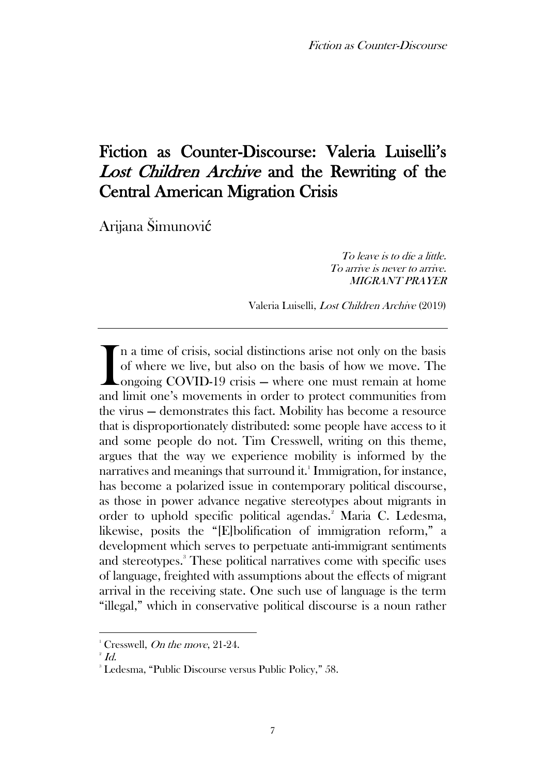# Fiction as Counter-Discourse: Valeria Luiselli's Lost Children Archive and the Rewriting of the Central American Migration Crisis

Arijana Šimunović

To leave is to die a little. To arrive is never to arrive. MIGRANT PRAYER

Valeria Luiselli, Lost Children Archive (2019)

n a time of crisis, social distinctions arise not only on the basis of where we live, but also on the basis of how we move. The Longoing COVID-19 crisis – where one must remain at home In a time of crisis, social distinctions arise not only on the basis of where we live, but also on the basis of how we move. The ongoing COVID-19 crisis — where one must remain at home and limit one's movements in order to the virus — demonstrates this fact. Mobility has become a resource that is disproportionately distributed: some people have access to it and some people do not. Tim Cresswell, writing on this theme, argues that the way we experience mobility is informed by the narratives and meanings that surround it. $^1$  Immigration, for instance, has become a polarized issue in contemporary political discourse, as those in power advance negative stereotypes about migrants in order to uphold specific political agendas.<sup>2</sup> Maria C. Ledesma, likewise, posits the "[E]bolification of immigration reform," a development which serves to perpetuate anti-immigrant sentiments and stereotypes. <sup>3</sup> These political narratives come with specific uses of language, freighted with assumptions about the effects of migrant arrival in the receiving state. One such use of language is the term "illegal," which in conservative political discourse is a noun rather

 $1$  Cresswell, *On the move*, 21-24.

 $^{\scriptscriptstyle 2}$   $Id.$ 

<sup>3</sup> Ledesma, "Public Discourse versus Public Policy," 58.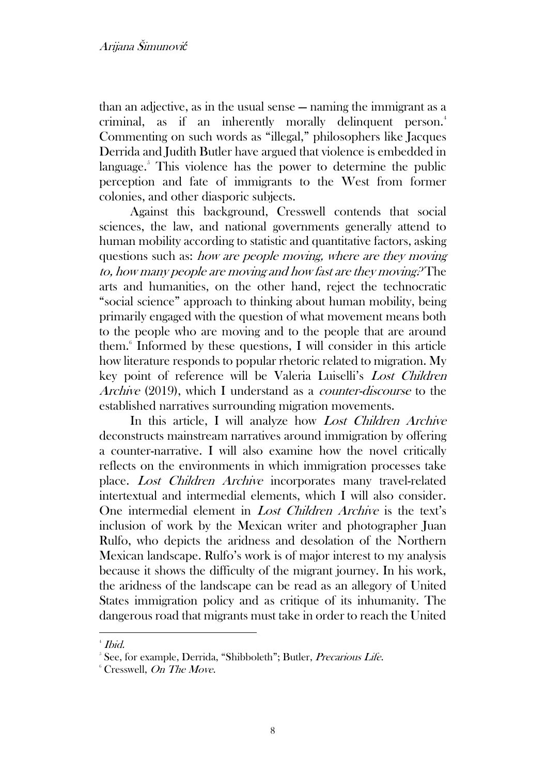than an adjective, as in the usual sense — naming the immigrant as a criminal, as if an inherently morally delinquent person.<sup>4</sup> Commenting on such words as "illegal," philosophers like Jacques Derrida and Judith Butler have argued that violence is embedded in language. $5$  This violence has the power to determine the public perception and fate of immigrants to the West from former colonies, and other diasporic subjects.

Against this background, Cresswell contends that social sciences, the law, and national governments generally attend to human mobility according to statistic and quantitative factors, asking questions such as: how are people moving, where are they moving to, how many people are moving and how fast are they moving? The arts and humanities, on the other hand, reject the technocratic "social science" approach to thinking about human mobility, being primarily engaged with the question of what movement means both to the people who are moving and to the people that are around them.<sup>6</sup> Informed by these questions, I will consider in this article how literature responds to popular rhetoric related to migration. My key point of reference will be Valeria Luiselli's Lost Children Archive (2019), which I understand as a counter-discourse to the established narratives surrounding migration movements.

In this article, I will analyze how Lost Children Archive deconstructs mainstream narratives around immigration by offering a counter-narrative. I will also examine how the novel critically reflects on the environments in which immigration processes take place. Lost Children Archive incorporates many travel-related intertextual and intermedial elements, which I will also consider. One intermedial element in Lost Children Archive is the text's inclusion of work by the Mexican writer and photographer Juan Rulfo, who depicts the aridness and desolation of the Northern Mexican landscape. Rulfo's work is of major interest to my analysis because it shows the difficulty of the migrant journey. In his work, the aridness of the landscape can be read as an allegory of United States immigration policy and as critique of its inhumanity. The dangerous road that migrants must take in order to reach the United

<sup>4</sup> Ibid.

<sup>&</sup>lt;sup>5</sup> See, for example, Derrida, "Shibboleth"; Butler, Precarious Life.

 $6$  Cresswell, On The Move.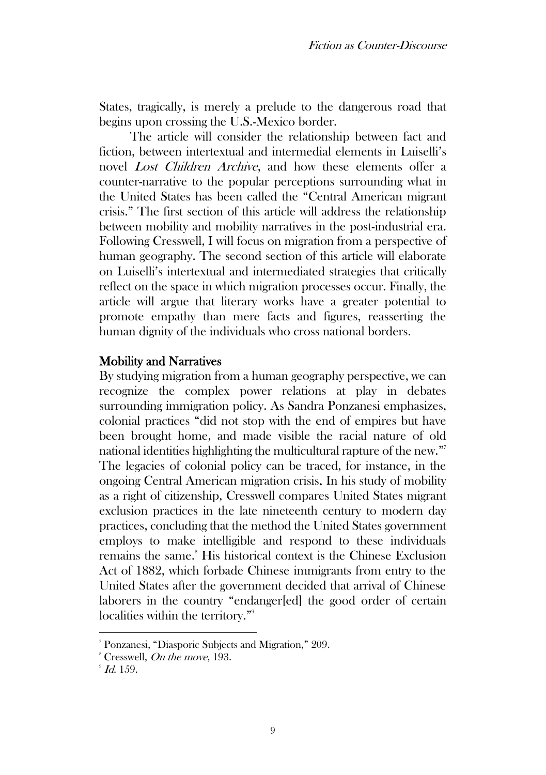States, tragically, is merely a prelude to the dangerous road that begins upon crossing the U.S.-Mexico border.

The article will consider the relationship between fact and fiction, between intertextual and intermedial elements in Luiselli's novel Lost Children Archive, and how these elements offer a counter-narrative to the popular perceptions surrounding what in the United States has been called the "Central American migrant crisis." The first section of this article will address the relationship between mobility and mobility narratives in the post-industrial era. Following Cresswell, I will focus on migration from a perspective of human geography. The second section of this article will elaborate on Luiselli's intertextual and intermediated strategies that critically reflect on the space in which migration processes occur. Finally, the article will argue that literary works have a greater potential to promote empathy than mere facts and figures, reasserting the human dignity of the individuals who cross national borders.

#### Mobility and Narratives

By studying migration from a human geography perspective, we can recognize the complex power relations at play in debates surrounding immigration policy. As Sandra Ponzanesi emphasizes, colonial practices "did not stop with the end of empires but have been brought home, and made visible the racial nature of old national identities highlighting the multicultural rapture of the new." 7 The legacies of colonial policy can be traced, for instance, in the ongoing Central American migration crisis. In his study of mobility as a right of citizenship, Cresswell compares United States migrant exclusion practices in the late nineteenth century to modern day practices, concluding that the method the United States government employs to make intelligible and respond to these individuals remains the same.<sup>8</sup> His historical context is the Chinese Exclusion Act of 1882, which forbade Chinese immigrants from entry to the United States after the government decided that arrival of Chinese laborers in the country "endanger[ed] the good order of certain localities within the territory."<sup>9</sup>

<sup>7</sup> Ponzanesi, "Diasporic Subjects and Migration," 209.

 $^8$  Cresswell, *On the move*, 193.

 $\mathscr{D}$  Id. 159.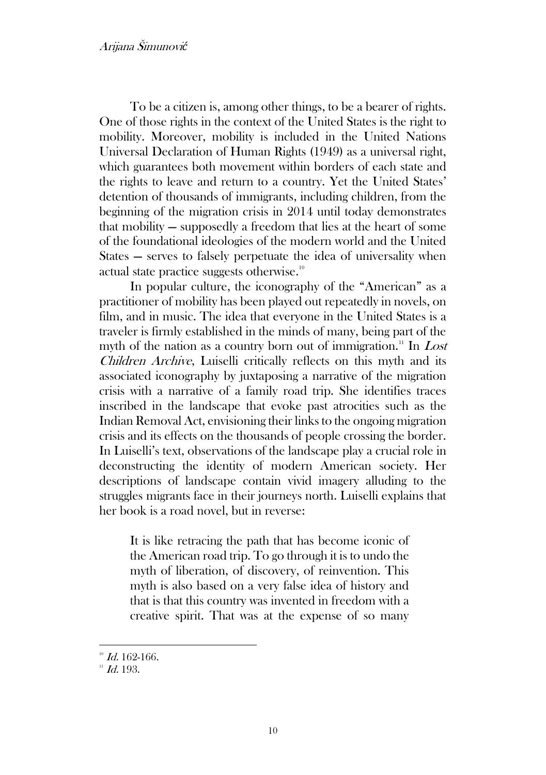To be a citizen is, among other things, to be a bearer of rights. One of those rights in the context of the United States is the right to mobility. Moreover, mobility is included in the United Nations Universal Declaration of Human Rights (1949) as a universal right, which guarantees both movement within borders of each state and the rights to leave and return to a country. Yet the United States' detention of thousands of immigrants, including children, from the beginning of the migration crisis in 2014 until today demonstrates that mobility — supposedly a freedom that lies at the heart of some of the foundational ideologies of the modern world and the United States — serves to falsely perpetuate the idea of universality when actual state practice suggests otherwise. $^{\text{\tiny{10}}}$ 

In popular culture, the iconography of the "American" as a practitioner of mobility has been played out repeatedly in novels, on film, and in music. The idea that everyone in the United States is a traveler is firmly established in the minds of many, being part of the myth of the nation as a country born out of immigration.<sup>11</sup> In Lost Children Archive, Luiselli critically reflects on this myth and its associated iconography by juxtaposing a narrative of the migration crisis with a narrative of a family road trip. She identifies traces inscribed in the landscape that evoke past atrocities such as the Indian Removal Act, envisioning their links to the ongoing migration crisis and its effects on the thousands of people crossing the border. In Luiselli's text, observations of the landscape play a crucial role in deconstructing the identity of modern American society. Her descriptions of landscape contain vivid imagery alluding to the struggles migrants face in their journeys north. Luiselli explains that her book is a road novel, but in reverse:

It is like retracing the path that has become iconic of the American road trip. To go through it is to undo the myth of liberation, of discovery, of reinvention. This myth is also based on a very false idea of history and that is that this country was invented in freedom with a creative spirit. That was at the expense of so many

 $10^{10}$  Id. 162-166.

 $11$  *Id.* 193.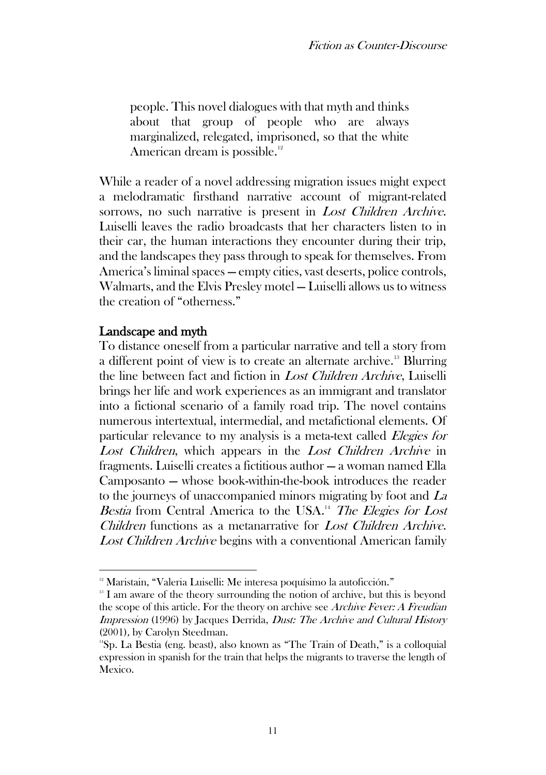people. This novel dialogues with that myth and thinks about that group of people who are always marginalized, relegated, imprisoned, so that the white American dream is possible.<sup>12</sup>

While a reader of a novel addressing migration issues might expect a melodramatic firsthand narrative account of migrant-related sorrows, no such narrative is present in *Lost Children Archive*. Luiselli leaves the radio broadcasts that her characters listen to in their car, the human interactions they encounter during their trip, and the landscapes they pass through to speak for themselves. From America's liminal spaces — empty cities, vast deserts, police controls, Walmarts, and the Elvis Presley motel — Luiselli allows us to witness the creation of "otherness."

### Landscape and myth

To distance oneself from a particular narrative and tell a story from a different point of view is to create an alternate archive.<sup>13</sup> Blurring the line between fact and fiction in Lost Children Archive, Luiselli brings her life and work experiences as an immigrant and translator into a fictional scenario of a family road trip. The novel contains numerous intertextual, intermedial, and metafictional elements. Of particular relevance to my analysis is a meta-text called Elegies for Lost Children, which appears in the Lost Children Archive in fragments. Luiselli creates a fictitious author — a woman named Ella Camposanto — whose book-within-the-book introduces the reader to the journeys of unaccompanied minors migrating by foot and La Bestia from Central America to the USA.<sup>14</sup> The Elegies for Lost Children functions as a metanarrative for Lost Children Archive. Lost Children Archive begins with a conventional American family

<sup>&</sup>lt;sup>12</sup> Maristain, "Valeria Luiselli: Me interesa poquísimo la autoficción."

<sup>&</sup>lt;sup>13</sup> I am aware of the theory surrounding the notion of archive, but this is beyond the scope of this article. For the theory on archive see Archive Fever: A Freudian Impression (1996) by Jacques Derrida, Dust: The Archive and Cultural History (2001), by Carolyn Steedman.

<sup>&</sup>lt;sup>14</sup>Sp. La Bestia (eng. beast), also known as "The Train of Death," is a colloquial expression in spanish for the train that helps the migrants to traverse the length of Mexico.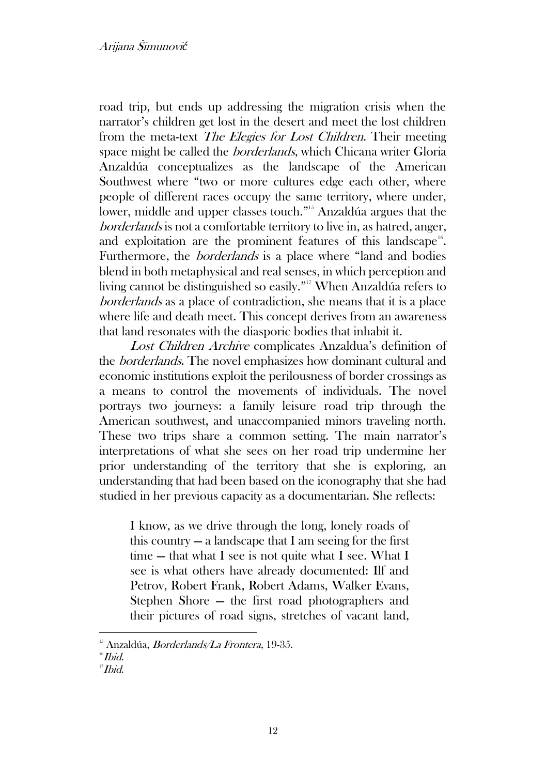road trip, but ends up addressing the migration crisis when the narrator's children get lost in the desert and meet the lost children from the meta-text *The Elegies for Lost Children*. Their meeting space might be called the borderlands, which Chicana writer Gloria Anzaldúa conceptualizes as the landscape of the American Southwest where "two or more cultures edge each other, where people of different races occupy the same territory, where under, lower, middle and upper classes touch." <sup>15</sup> Anzaldúa argues that the borderlands is not a comfortable territory to live in, as hatred, anger, and exploitation are the prominent features of this landscape<sup>16</sup>. Furthermore, the *borderlands* is a place where "land and bodies" blend in both metaphysical and real senses, in which perception and living cannot be distinguished so easily." <sup>17</sup> When Anzaldúa refers to borderlands as a place of contradiction, she means that it is a place where life and death meet. This concept derives from an awareness that land resonates with the diasporic bodies that inhabit it.

Lost Children Archive complicates Anzaldua's definition of the borderlands. The novel emphasizes how dominant cultural and economic institutions exploit the perilousness of border crossings as a means to control the movements of individuals. The novel portrays two journeys: a family leisure road trip through the American southwest, and unaccompanied minors traveling north. These two trips share a common setting. The main narrator's interpretations of what she sees on her road trip undermine her prior understanding of the territory that she is exploring, an understanding that had been based on the iconography that she had studied in her previous capacity as a documentarian. She reflects:

I know, as we drive through the long, lonely roads of this country  $-$  a landscape that I am seeing for the first time — that what I see is not quite what I see. What I see is what others have already documented: Ilf and Petrov, Robert Frank, Robert Adams, Walker Evans, Stephen Shore — the first road photographers and their pictures of road signs, stretches of vacant land,

 $15$  Anzaldúa, *Borderlands/La Frontera*, 19-35.

 $16$ *Ibid.* 

 $II$ *bid.*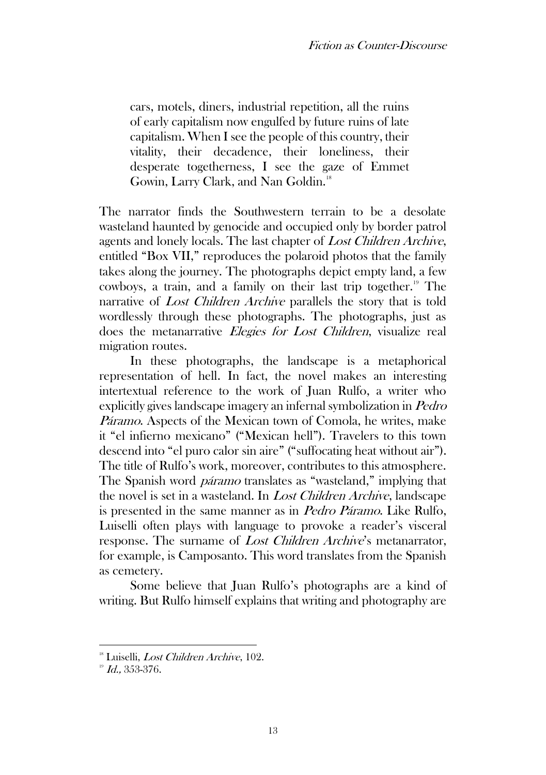cars, motels, diners, industrial repetition, all the ruins of early capitalism now engulfed by future ruins of late capitalism. When I see the people of this country, their vitality, their decadence, their loneliness, their desperate togetherness, I see the gaze of Emmet Gowin, Larry Clark, and Nan Goldin.<sup>18</sup>

The narrator finds the Southwestern terrain to be a desolate wasteland haunted by genocide and occupied only by border patrol agents and lonely locals. The last chapter of Lost Children Archive, entitled "Box VII," reproduces the polaroid photos that the family takes along the journey. The photographs depict empty land, a few cowboys, a train, and a family on their last trip together.<sup>19</sup> The narrative of Lost Children Archive parallels the story that is told wordlessly through these photographs. The photographs, just as does the metanarrative Elegies for Lost Children, visualize real migration routes.

In these photographs, the landscape is a metaphorical representation of hell. In fact, the novel makes an interesting intertextual reference to the work of Juan Rulfo, a writer who explicitly gives landscape imagery an infernal symbolization in Pedro Páramo. Aspects of the Mexican town of Comola, he writes, make it "el infierno mexicano" ("Mexican hell"). Travelers to this town descend into "el puro calor sin aire" ("suffocating heat without air"). The title of Rulfo's work, moreover, contributes to this atmosphere. The Spanish word *páramo* translates as "wasteland," implying that the novel is set in a wasteland. In Lost Children Archive, landscape is presented in the same manner as in Pedro Páramo. Like Rulfo, Luiselli often plays with language to provoke a reader's visceral response. The surname of *Lost Children Archive's* metanarrator, for example, is Camposanto. This word translates from the Spanish as cemetery.

Some believe that Juan Rulfo's photographs are a kind of writing. But Rulfo himself explains that writing and photography are

<sup>&</sup>lt;sup>18</sup> Luiselli, *Lost Children Archive*, 102.

 $19$  Id., 353-376.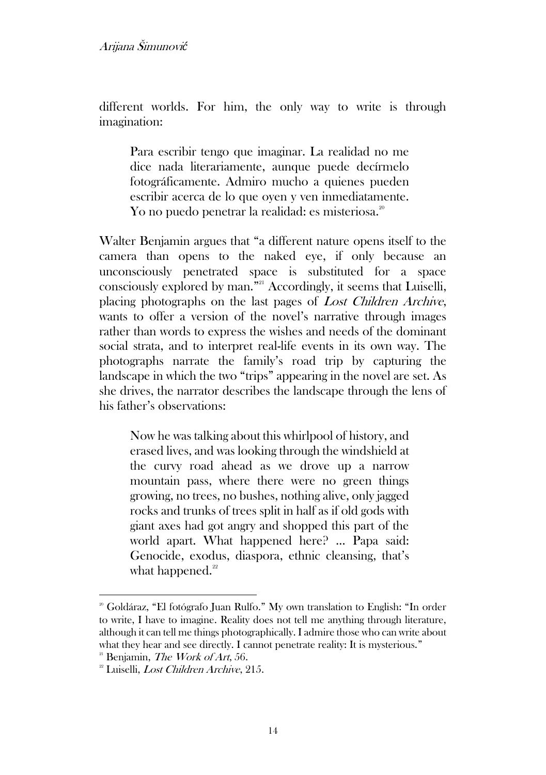different worlds. For him, the only way to write is through imagination:

Para escribir tengo que imaginar. La realidad no me dice nada literariamente, aunque puede decírmelo fotográficamente. Admiro mucho a quienes pueden escribir acerca de lo que oyen y ven inmediatamente. Yo no puedo penetrar la realidad: es misteriosa. $^{\textrm{\tiny{20}}}$ 

Walter Benjamin argues that "a different nature opens itself to the camera than opens to the naked eye, if only because an unconsciously penetrated space is substituted for a space consciously explored by man." <sup>21</sup> Accordingly, it seems that Luiselli, placing photographs on the last pages of Lost Children Archive, wants to offer a version of the novel's narrative through images rather than words to express the wishes and needs of the dominant social strata, and to interpret real-life events in its own way. The photographs narrate the family's road trip by capturing the landscape in which the two "trips" appearing in the novel are set. As she drives, the narrator describes the landscape through the lens of his father's observations:

Now he was talking about this whirlpool of history, and erased lives, and was looking through the windshield at the curvy road ahead as we drove up a narrow mountain pass, where there were no green things growing, no trees, no bushes, nothing alive, only jagged rocks and trunks of trees split in half as if old gods with giant axes had got angry and shopped this part of the world apart. What happened here? … Papa said: Genocide, exodus, diaspora, ethnic cleansing, that's what happened. $22$ 

<sup>&</sup>lt;sup>20</sup> Goldáraz, "El fotógrafo Juan Rulfo." My own translation to English: "In order to write, I have to imagine. Reality does not tell me anything through literature, although it can tell me things photographically. I admire those who can write about what they hear and see directly. I cannot penetrate reality: It is mysterious."

 $21$  Benjamin, The Work of Art, 56.

<sup>&</sup>lt;sup>22</sup> Luiselli, *Lost Children Archive*, 215.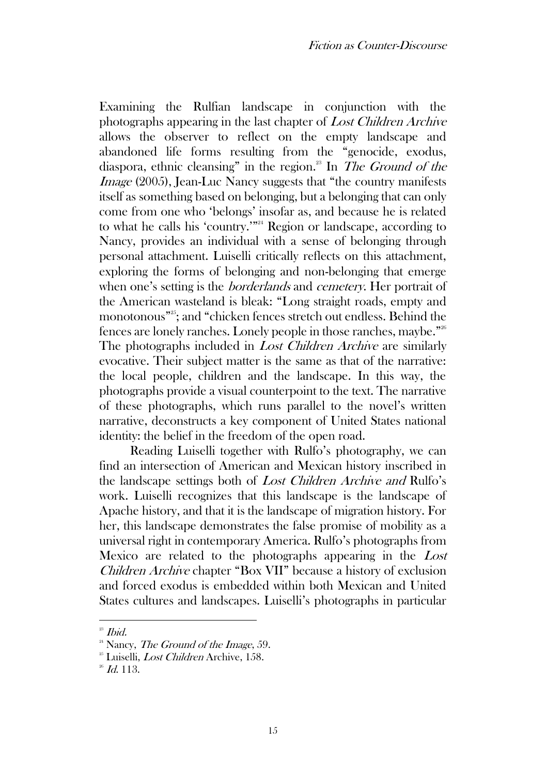Examining the Rulfian landscape in conjunction with the photographs appearing in the last chapter of Lost Children Archive allows the observer to reflect on the empty landscape and abandoned life forms resulting from the "genocide, exodus, diaspora, ethnic cleansing" in the region.<sup>23</sup> In *The Ground of the* Image (2005), Jean-Luc Nancy suggests that "the country manifests itself as something based on belonging, but a belonging that can only come from one who 'belongs' insofar as, and because he is related to what he calls his 'country.'"<sup>24</sup> Region or landscape, according to Nancy, provides an individual with a sense of belonging through personal attachment. Luiselli critically reflects on this attachment, exploring the forms of belonging and non-belonging that emerge when one's setting is the *borderlands* and *cemetery*. Her portrait of the American wasteland is bleak: "Long straight roads, empty and monotonous" 25 ; and "chicken fences stretch out endless. Behind the fences are lonely ranches. Lonely people in those ranches, maybe." 26 The photographs included in *Lost Children Archive* are similarly evocative. Their subject matter is the same as that of the narrative: the local people, children and the landscape. In this way, the photographs provide a visual counterpoint to the text. The narrative of these photographs, which runs parallel to the novel's written narrative, deconstructs a key component of United States national identity: the belief in the freedom of the open road.

Reading Luiselli together with Rulfo's photography, we can find an intersection of American and Mexican history inscribed in the landscape settings both of Lost Children Archive and Rulfo's work. Luiselli recognizes that this landscape is the landscape of Apache history, and that it is the landscape of migration history. For her, this landscape demonstrates the false promise of mobility as a universal right in contemporary America. Rulfo's photographs from Mexico are related to the photographs appearing in the Lost Children Archive chapter "Box VII" because a history of exclusion and forced exodus is embedded within both Mexican and United States cultures and landscapes. Luiselli's photographs in particular

 $23$  *Ibid.* 

 $24$  Nancy, *The Ground of the Image*, 59.

 $25$  Luiselli, *Lost Children* Archive, 158.

 $26$  *Id.* 113.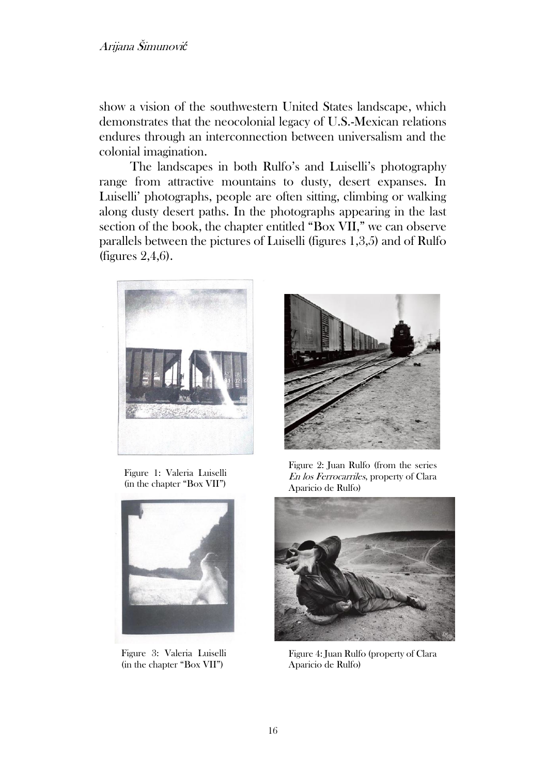show a vision of the southwestern United States landscape, which demonstrates that the neocolonial legacy of U.S.-Mexican relations endures through an interconnection between universalism and the colonial imagination.

The landscapes in both Rulfo's and Luiselli's photography range from attractive mountains to dusty, desert expanses. In Luiselli' photographs, people are often sitting, climbing or walking along dusty desert paths. In the photographs appearing in the last section of the book, the chapter entitled "Box VII," we can observe parallels between the pictures of Luiselli (figures 1,3,5) and of Rulfo (figures 2,4,6).



Figure 1: Valeria Luiselli (in the chapter "Box VII")



Figure 3: Valeria Luiselli (in the chapter "Box VII")



Figure 2: Juan Rulfo (from the series En los Ferrocarriles, property of Clara Aparicio de Rulfo)



Figure 4: Juan Rulfo (property of Clara Aparicio de Rulfo)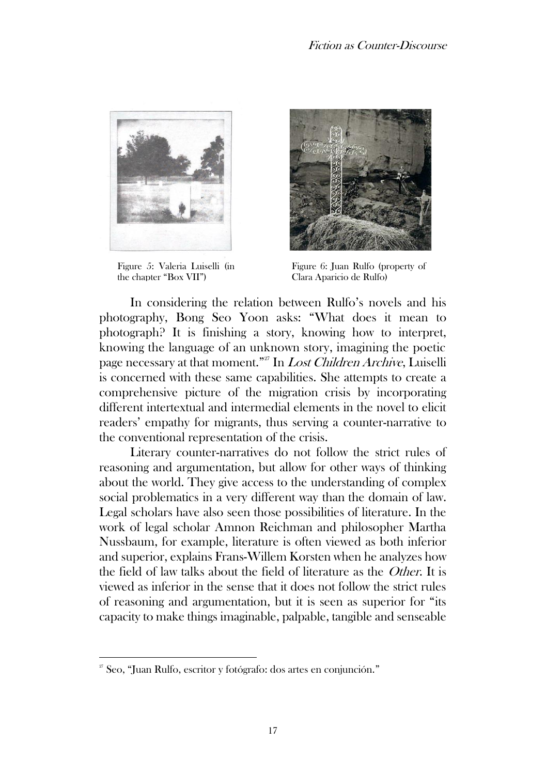

Figure 5: Valeria Luiselli (in the chapter "Box VII")



Figure 6: Juan Rulfo (property of Clara Aparicio de Rulfo)

In considering the relation between Rulfo's novels and his photography, Bong Seo Yoon asks: "What does it mean to photograph? It is finishing a story, knowing how to interpret, knowing the language of an unknown story, imagining the poetic page necessary at that moment."<sup>27</sup> In *Lost Children Archive*, Luiselli is concerned with these same capabilities. She attempts to create a comprehensive picture of the migration crisis by incorporating different intertextual and intermedial elements in the novel to elicit readers' empathy for migrants, thus serving a counter-narrative to the conventional representation of the crisis.

Literary counter-narratives do not follow the strict rules of reasoning and argumentation, but allow for other ways of thinking about the world. They give access to the understanding of complex social problematics in a very different way than the domain of law. Legal scholars have also seen those possibilities of literature. In the work of legal scholar Amnon Reichman and philosopher Martha Nussbaum, for example, literature is often viewed as both inferior and superior, explains Frans-Willem Korsten when he analyzes how the field of law talks about the field of literature as the Other. It is viewed as inferior in the sense that it does not follow the strict rules of reasoning and argumentation, but it is seen as superior for "its capacity to make things imaginable, palpable, tangible and senseable

<sup>27</sup> Seo, "Juan Rulfo, escritor y fotógrafo: dos artes en conjunción."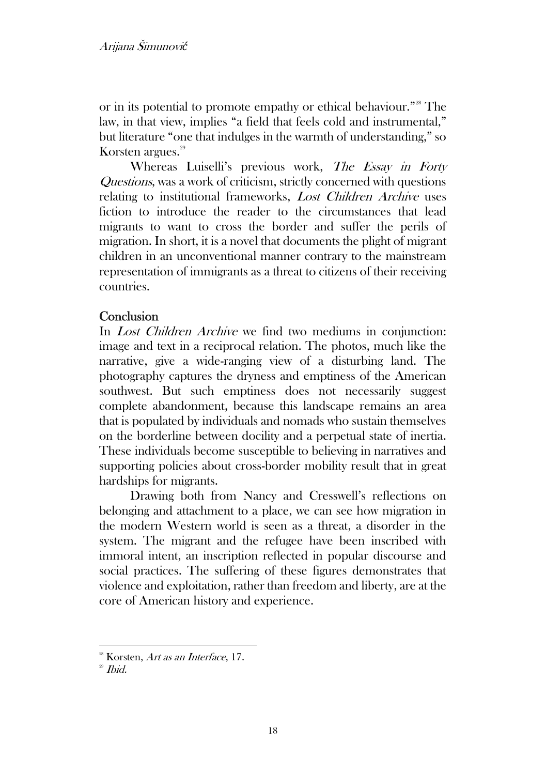or in its potential to promote empathy or ethical behaviour."<sup>28</sup> The law, in that view, implies "a field that feels cold and instrumental," but literature "one that indulges in the warmth of understanding," so Korsten argues.<sup>29</sup>

Whereas Luiselli's previous work, The Essay in Forty Questions, was a work of criticism, strictly concerned with questions relating to institutional frameworks, Lost Children Archive uses fiction to introduce the reader to the circumstances that lead migrants to want to cross the border and suffer the perils of migration. In short, it is a novel that documents the plight of migrant children in an unconventional manner contrary to the mainstream representation of immigrants as a threat to citizens of their receiving countries.

## **Conclusion**

In *Lost Children Archive* we find two mediums in conjunction: image and text in a reciprocal relation. The photos, much like the narrative, give a wide-ranging view of a disturbing land. The photography captures the dryness and emptiness of the American southwest. But such emptiness does not necessarily suggest complete abandonment, because this landscape remains an area that is populated by individuals and nomads who sustain themselves on the borderline between docility and a perpetual state of inertia. These individuals become susceptible to believing in narratives and supporting policies about cross-border mobility result that in great hardships for migrants.

Drawing both from Nancy and Cresswell's reflections on belonging and attachment to a place, we can see how migration in the modern Western world is seen as a threat, a disorder in the system. The migrant and the refugee have been inscribed with immoral intent, an inscription reflected in popular discourse and social practices. The suffering of these figures demonstrates that violence and exploitation, rather than freedom and liberty, are at the core of American history and experience.

<sup>&</sup>lt;sup>28</sup> Korsten, Art as an Interface, 17.

 $29$  *Ibid.*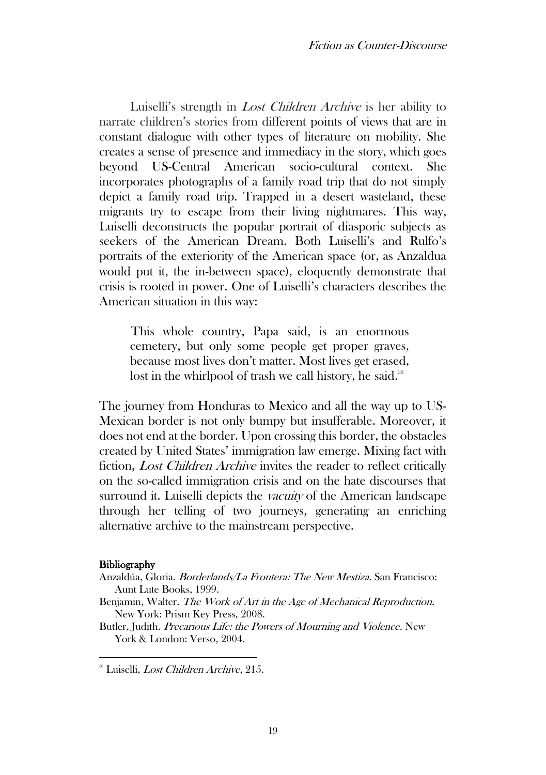Luiselli's strength in *Lost Children Archive* is her ability to narrate children's stories from different points of views that are in constant dialogue with other types of literature on mobility. She creates a sense of presence and immediacy in the story, which goes beyond US-Central American socio-cultural context. She incorporates photographs of a family road trip that do not simply depict a family road trip. Trapped in a desert wasteland, these migrants try to escape from their living nightmares. This way, Luiselli deconstructs the popular portrait of diasporic subjects as seekers of the American Dream. Both Luiselli's and Rulfo's portraits of the exteriority of the American space (or, as Anzaldua would put it, the in-between space), eloquently demonstrate that crisis is rooted in power. One of Luiselli's characters describes the American situation in this way:

This whole country, Papa said, is an enormous cemetery, but only some people get proper graves, because most lives don't matter. Most lives get erased, lost in the whirlpool of trash we call history, he said.<sup>30</sup>

The journey from Honduras to Mexico and all the way up to US-Mexican border is not only bumpy but insufferable. Moreover, it does not end at the border. Upon crossing this border, the obstacles created by United States' immigration law emerge. Mixing fact with fiction, *Lost Children Archive* invites the reader to reflect critically on the so-called immigration crisis and on the hate discourses that surround it. Luiselli depicts the *vacuity* of the American landscape through her telling of two journeys, generating an enriching alternative archive to the mainstream perspective.

#### **Bibliography**

- Anzaldúa, Gloria. Borderlands/La Frontera: The New Mestiza. San Francisco: Aunt Lute Books, 1999.
- Benjamin, Walter. The Work of Art in the Age of Mechanical Reproduction. New York: Prism Key Press, 2008.

Butler, Judith. Precarious Life: the Powers of Mourning and Violence. New York & London: Verso, 2004.

<sup>&</sup>lt;sup>30</sup> Luiselli, *Lost Children Archive*, 215.